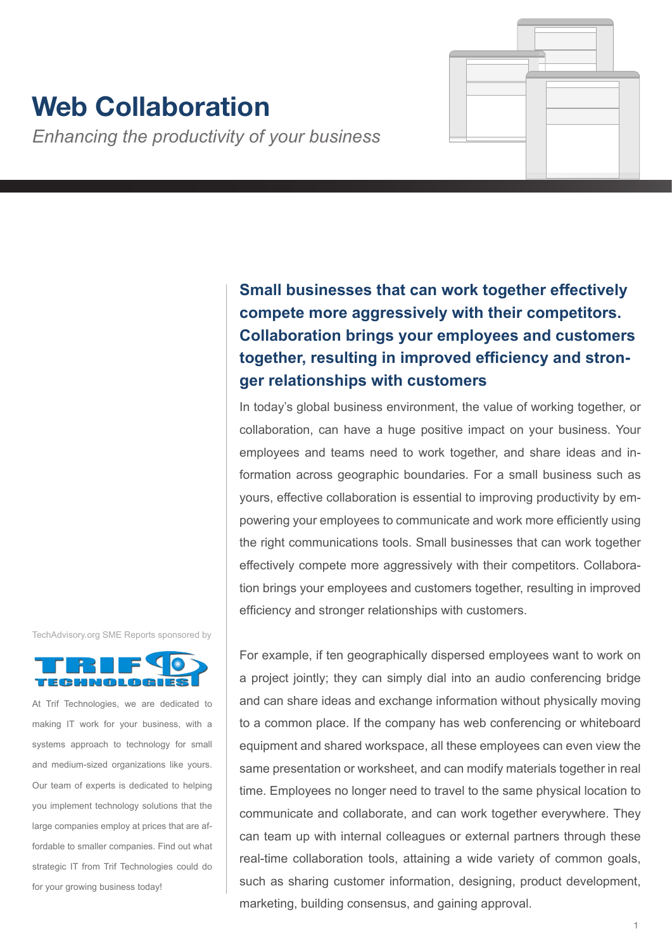# **Web Collaboration**

*Enhancing the productivity of your business*

**Small businesses that can work together effectively compete more aggressively with their competitors. Collaboration brings your employees and customers together, resulting in improved efficiency and stronger relationships with customers**

In today's global business environment, the value of working together, or collaboration, can have a huge positive impact on your business. Your employees and teams need to work together, and share ideas and information across geographic boundaries. For a small business such as yours, effective collaboration is essential to improving productivity by empowering your employees to communicate and work more efficiently using the right communications tools. Small businesses that can work together effectively compete more aggressively with their competitors. Collaboration brings your employees and customers together, resulting in improved efficiency and stronger relationships with customers.

TechAdvisory.org SME Reports sponsored by



At Trif Technologies, we are dedicated to making IT work for your business, with a systems approach to technology for small and medium-sized organizations like yours. Our team of experts is dedicated to helping you implement technology solutions that the large companies employ at prices that are affordable to smaller companies. Find out what strategic IT from Trif Technologies could do for your growing business today!

For example, if ten geographically dispersed employees want to work on a project jointly; they can simply dial into an audio conferencing bridge and can share ideas and exchange information without physically moving to a common place. If the company has web conferencing or whiteboard equipment and shared workspace, all these employees can even view the same presentation or worksheet, and can modify materials together in real time. Employees no longer need to travel to the same physical location to communicate and collaborate, and can work together everywhere. They can team up with internal colleagues or external partners through these real-time collaboration tools, attaining a wide variety of common goals, such as sharing customer information, designing, product development, marketing, building consensus, and gaining approval.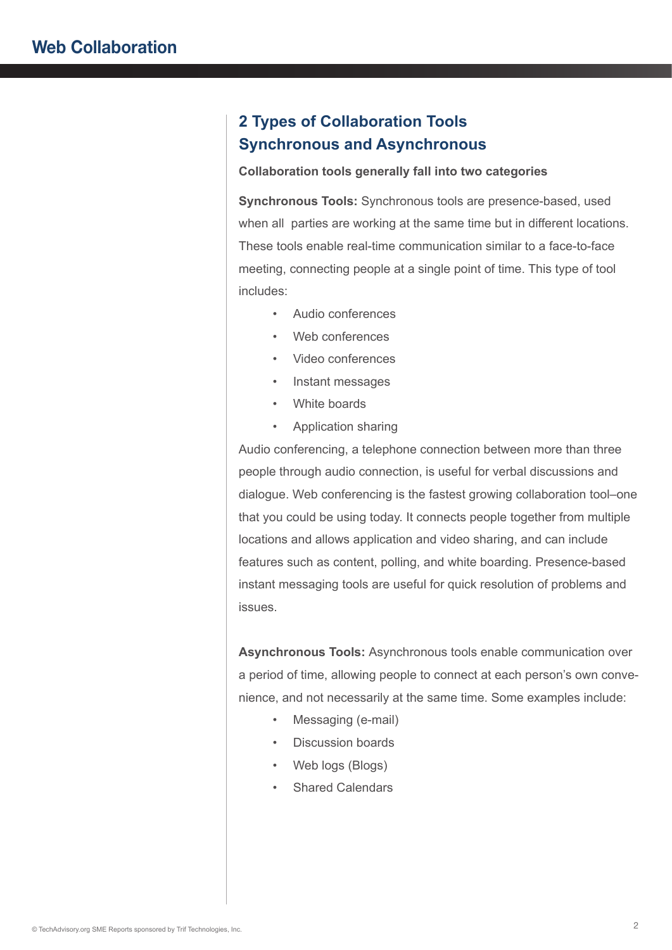## **2 Types of Collaboration Tools Synchronous and Asynchronous**

#### **Collaboration tools generally fall into two categories**

**Synchronous Tools:** Synchronous tools are presence-based, used when all parties are working at the same time but in different locations. These tools enable real-time communication similar to a face-to-face meeting, connecting people at a single point of time. This type of tool includes:

- Audio conferences
- Web conferences
- Video conferences
- Instant messages
- White boards
- Application sharing

Audio conferencing, a telephone connection between more than three people through audio connection, is useful for verbal discussions and dialogue. Web conferencing is the fastest growing collaboration tool–one that you could be using today. It connects people together from multiple locations and allows application and video sharing, and can include features such as content, polling, and white boarding. Presence-based instant messaging tools are useful for quick resolution of problems and issues.

**Asynchronous Tools:** Asynchronous tools enable communication over a period of time, allowing people to connect at each person's own convenience, and not necessarily at the same time. Some examples include:

- Messaging (e-mail)
- Discussion boards
- Web logs (Blogs)
- Shared Calendars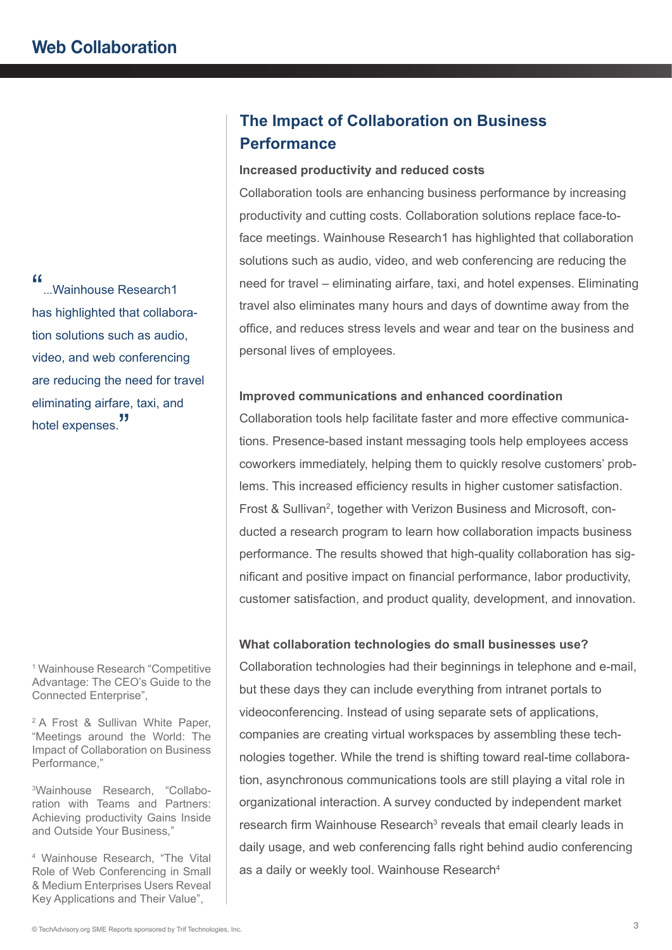"...Wainhouse Research1 has highlighted that collaboration solutions such as audio, video, and web conferencing are reducing the need for travel eliminating airfare, taxi, and hotel expenses.<sup>"</sup>

1 Wainhouse Research "Competitive Advantage: The CEO's Guide to the Connected Enterprise",

2 A Frost & Sullivan White Paper, "Meetings around the World: The Impact of Collaboration on Business Performance,"

3 Wainhouse Research, "Collaboration with Teams and Partners: Achieving productivity Gains Inside and Outside Your Business,"

4 Wainhouse Research, "The Vital Role of Web Conferencing in Small & Medium Enterprises Users Reveal Key Applications and Their Value",

# **The Impact of Collaboration on Business Performance**

#### **Increased productivity and reduced costs**

Collaboration tools are enhancing business performance by increasing productivity and cutting costs. Collaboration solutions replace face-toface meetings. Wainhouse Research1 has highlighted that collaboration solutions such as audio, video, and web conferencing are reducing the need for travel – eliminating airfare, taxi, and hotel expenses. Eliminating travel also eliminates many hours and days of downtime away from the office, and reduces stress levels and wear and tear on the business and personal lives of employees.

#### **Improved communications and enhanced coordination**

Collaboration tools help facilitate faster and more effective communications. Presence-based instant messaging tools help employees access coworkers immediately, helping them to quickly resolve customers' problems. This increased efficiency results in higher customer satisfaction. Frost & Sullivan<sup>2</sup>, together with Verizon Business and Microsoft, conducted a research program to learn how collaboration impacts business performance. The results showed that high-quality collaboration has significant and positive impact on financial performance, labor productivity, customer satisfaction, and product quality, development, and innovation.

#### **What collaboration technologies do small businesses use?**

Collaboration technologies had their beginnings in telephone and e-mail, but these days they can include everything from intranet portals to videoconferencing. Instead of using separate sets of applications, companies are creating virtual workspaces by assembling these technologies together. While the trend is shifting toward real-time collaboration, asynchronous communications tools are still playing a vital role in organizational interaction. A survey conducted by independent market research firm Wainhouse Research<sup>3</sup> reveals that email clearly leads in daily usage, and web conferencing falls right behind audio conferencing as a daily or weekly tool. Wainhouse Research<sup>4</sup>